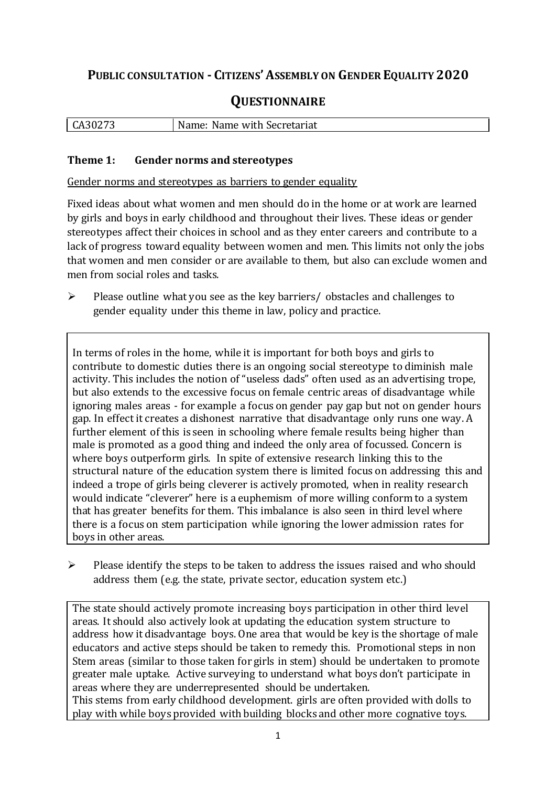# **PUBLIC CONSULTATION - CITIZENS'ASSEMBLY ON GENDER EQUALITY 2020**

# **QUESTIONNAIRE**

| CA3027 <sup>-</sup> | Name:<br>Name with Secretariat |
|---------------------|--------------------------------|
|                     |                                |

#### **Theme 1: Gender norms and stereotypes**

Gender norms and stereotypes as barriers to gender equality

Fixed ideas about what women and men should do in the home or at work are learned by girls and boys in early childhood and throughout their lives. These ideas or gender stereotypes affect their choices in school and as they enter careers and contribute to a lack of progress toward equality between women and men. This limits not only the jobs that women and men consider or are available to them, but also can exclude women and men from social roles and tasks.

 $\triangleright$  Please outline what you see as the key barriers/ obstacles and challenges to gender equality under this theme in law, policy and practice.

In terms of roles in the home, while it is important for both boys and girls to contribute to domestic duties there is an ongoing social stereotype to diminish male activity. This includes the notion of "useless dads" often used as an advertising trope, but also extends to the excessive focus on female centric areas of disadvantage while ignoring males areas - for example a focus on gender pay gap but not on gender hours gap. In effect it creates a dishonest narrative that disadvantage only runs one way. A further element of this is seen in schooling where female results being higher than male is promoted as a good thing and indeed the only area of focussed. Concern is where boys outperform girls. In spite of extensive research linking this to the structural nature of the education system there is limited focus on addressing this and indeed a trope of girls being cleverer is actively promoted, when in reality research would indicate "cleverer" here is a euphemism of more willing conform to a system that has greater benefits for them. This imbalance is also seen in third level where there is a focus on stem participation while ignoring the lower admission rates for boys in other areas.

 $\triangleright$  Please identify the steps to be taken to address the issues raised and who should address them (e.g. the state, private sector, education system etc.)

The state should actively promote increasing boys participation in other third level areas. It should also actively look at updating the education system structure to address how it disadvantage boys. One area that would be key is the shortage of male educators and active steps should be taken to remedy this. Promotional steps in non Stem areas (similar to those taken for girls in stem) should be undertaken to promote greater male uptake. Active surveying to understand what boys don't participate in areas where they are underrepresented should be undertaken. This stems from early childhood development. girls are often provided with dolls to play with while boys provided with building blocks and other more cognative toys.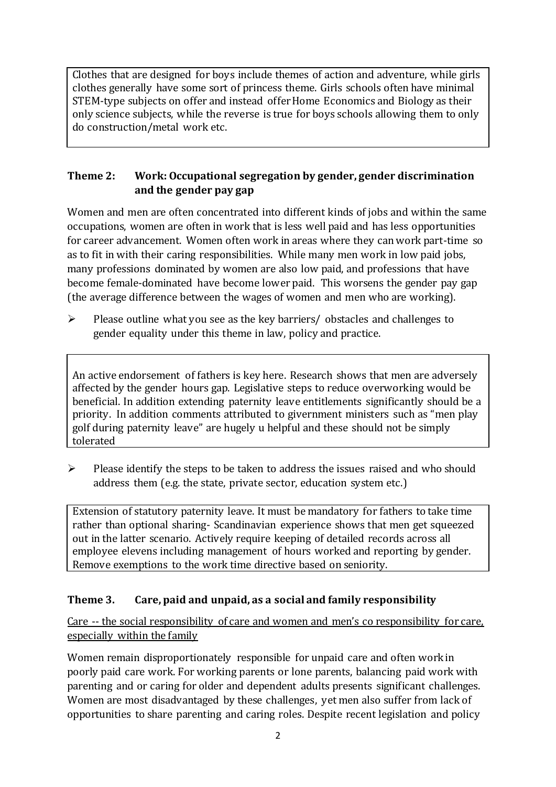Clothes that are designed for boys include themes of action and adventure, while girls clothes generally have some sort of princess theme. Girls schools often have minimal STEM-type subjects on offer and instead offer Home Economics and Biology as their only science subjects, while the reverse is true for boys schools allowing them to only do construction/metal work etc.

## **Theme 2: Work: Occupational segregation by gender, gender discrimination and the gender pay gap**

Women and men are often concentrated into different kinds of jobs and within the same occupations, women are often in work that is less well paid and has less opportunities for career advancement. Women often work in areas where they can work part-time so as to fit in with their caring responsibilities. While many men work in low paid jobs, many professions dominated by women are also low paid, and professions that have become female-dominated have become lower paid. This worsens the gender pay gap (the average difference between the wages of women and men who are working).

 $\triangleright$  Please outline what you see as the key barriers/ obstacles and challenges to gender equality under this theme in law, policy and practice.

An active endorsement of fathers is key here. Research shows that men are adversely affected by the gender hours gap. Legislative steps to reduce overworking would be beneficial. In addition extending paternity leave entitlements significantly should be a priority. In addition comments attributed to givernment ministers such as "men play golf during paternity leave" are hugely u helpful and these should not be simply tolerated

 $\triangleright$  Please identify the steps to be taken to address the issues raised and who should address them (e.g. the state, private sector, education system etc.)

Extension of statutory paternity leave. It must be mandatory for fathers to take time rather than optional sharing- Scandinavian experience shows that men get squeezed out in the latter scenario. Actively require keeping of detailed records across all employee elevens including management of hours worked and reporting by gender. Remove exemptions to the work time directive based on seniority.

## **Theme 3. Care, paid and unpaid, as a social and family responsibility**

Care -- the social responsibility of care and women and men's co responsibility for care, especially within the family

Women remain disproportionately responsible for unpaid care and often work in poorly paid care work. For working parents or [lone parents,](https://aran.library.nuigalway.ie/bitstream/handle/10379/6044/Millar_and_Crosse_Activation_Report.pdf?sequence=1&isAllowed=y) balancing paid work with parenting and or caring for older and dependent adults presents significant challenges. Women are [most disadvantaged by these challenges,](https://eige.europa.eu/gender-equality-index/game/IE/W) yet men also suffer from lack of opportunities to share parenting and caring roles. Despite recent legislation and policy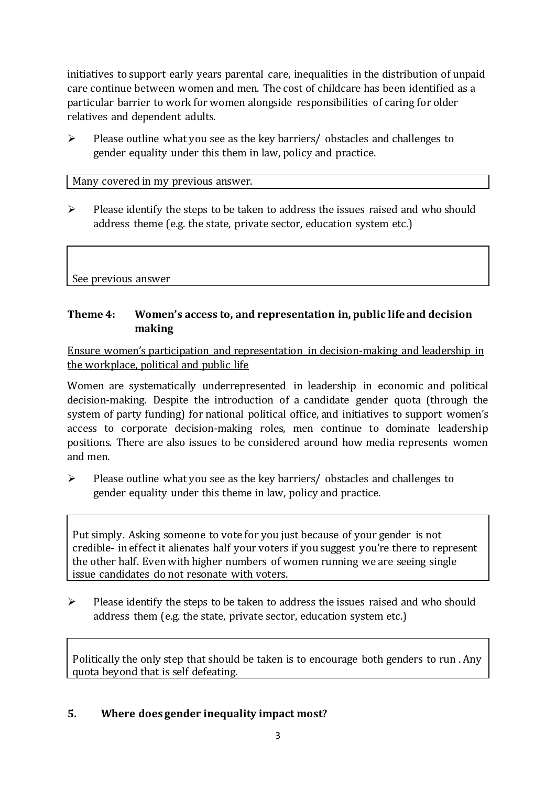initiatives to support early years parental care, [inequalities in the distribution of unpaid](https://www.ihrec.ie/app/uploads/2019/07/Caring-and-Unpaid-Work-in-Ireland_Final.pdf)  [care](https://www.ihrec.ie/app/uploads/2019/07/Caring-and-Unpaid-Work-in-Ireland_Final.pdf) continue between women and men. The cost of childcare has been identified as a particular barrier to work for women alongside responsibilities of caring for older relatives and dependent adults.

 $\triangleright$  Please outline what you see as the key barriers/ obstacles and challenges to gender equality under this them in law, policy and practice.

Many covered in my previous answer.

 $\triangleright$  Please identify the steps to be taken to address the issues raised and who should address theme (e.g. the state, private sector, education system etc.)

See previous answer

### **Theme 4: Women's access to, and representation in, public life and decision making**

Ensure women's participation and representation in decision-making and leadership in the workplace, political and public life

Women are systematically underrepresented in leadership in [economic](https://eige.europa.eu/gender-equality-index/2019/compare-countries/power/2/bar) and [political](https://eige.europa.eu/gender-equality-index/2019/compare-countries/power/1/bar)  [decision-](https://eige.europa.eu/gender-equality-index/2019/compare-countries/power/1/bar)making. Despite the introduction of a candidate gender quota (through the system of party funding) for national political office, and [initiatives](https://betterbalance.ie/) to support women's access to corporate decision-making roles, men continue to dominate leadership positions. There are also issues to be considered around how media represents women and men.

 $\triangleright$  Please outline what you see as the key barriers/ obstacles and challenges to gender equality under this theme in law, policy and practice.

Put simply. Asking someone to vote for you just because of your gender is not credible- in effect it alienates half your voters if you suggest you're there to represent the other half. Even with higher numbers of women running we are seeing single issue candidates do not resonate with voters.

 $\triangleright$  Please identify the steps to be taken to address the issues raised and who should address them (e.g. the state, private sector, education system etc.)

Politically the only step that should be taken is to encourage both genders to run . Any quota beyond that is self defeating.

### **5. Where does gender inequality impact most?**